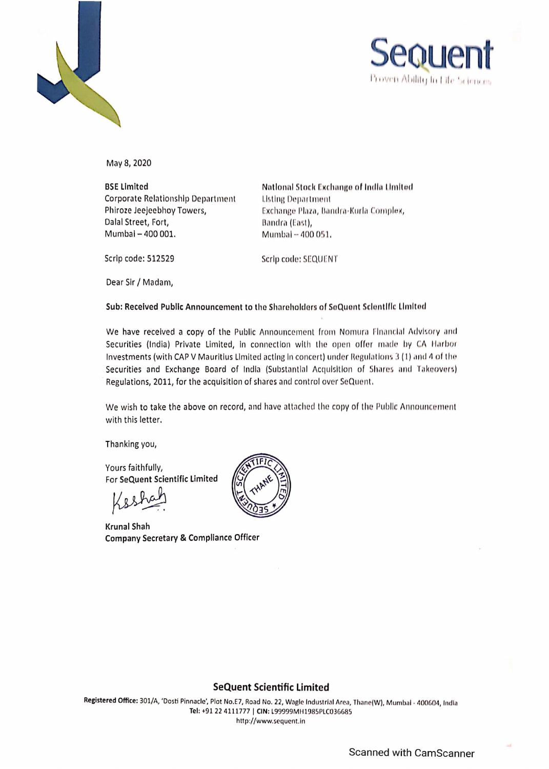



May 8, 2020

**BSE Limited**  Corporate Relationship Department Phlroze Jeejeebhoy Towers, Dalal Street, Fort, Mumbai - 400 001.

National Stock Exchange of India Limited **Listing Department** Exchange Plaza, Bandra-Kurla Complex, Bandra (East), Mumbal - 400 051,

Scrip code: 512529

Scrip code: SEQUENT

Dear Sir/ Madam,

Sub: Received Public Announcement to the Shareholders of SeQuent Sclentific Limited

We have received a copy of the Public Announcement from Nomura Financial Advisory and Securities (India) Private Limited, in connection with the open offer made by CA Harbor Investments (with CAP V Mauritius Limited acting in concert) under Regulations 3 (1) and 4 of the Securities and Exchange Board of India (Substantial Acquisition of Shares and Takeovers) Regulations, 2011, for the acquisition of shares and control over SeQuent.

We wish to take the above on record, and have attached the copy of the Public Announcement with this letter.

Thanking you,

Yours faithfully, For SeQuent Scientific Limited<br> **A**<br> **A**<br> **Shah**<br> **Krunal Shah** 

**Krunal Company Secretary** & **Compliance Officer** 



## **SeQuent Scientific Limited**

Registered Office: 301/A, 'Dosti Pinnacle', Plot No.E7, Road No. 22, Wagle Industrial Area, Thane(W), Mumbal - 400604, India **Tel:** +91224111777 I **CIN:** L99999MH1985PLC03G685 http://www.sequent.in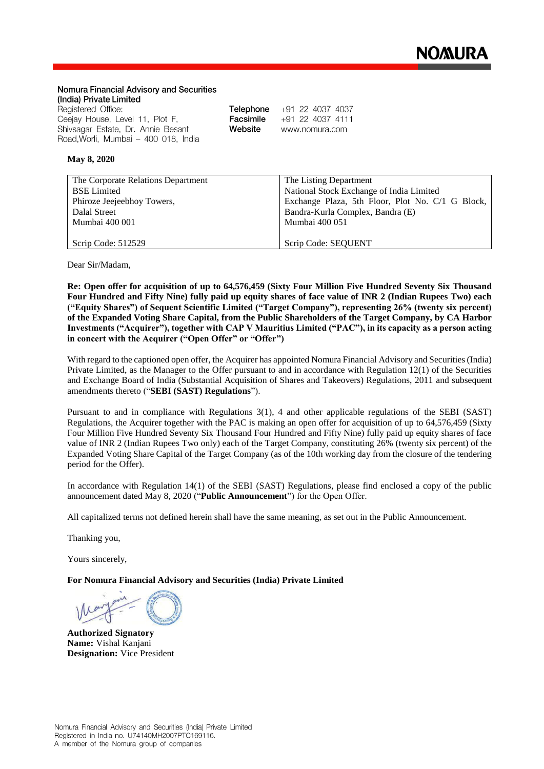#### **Nomura Financial Advisory and Securities (India) Private Limited**

| Registered Office:                  |           | <b>Telephone</b> $+91$ 22 4037 4037 |
|-------------------------------------|-----------|-------------------------------------|
| Ceejay House, Level 11, Plot F,     | Facsimile | +91 22 4037 4111                    |
| Shivsagar Estate, Dr. Annie Besant  | Website   | www.nomura.com                      |
| Road,Worli, Mumbai – 400 018, India |           |                                     |

#### **May 8, 2020**

| The Corporate Relations Department | The Listing Department                           |
|------------------------------------|--------------------------------------------------|
| <b>BSE</b> Limited                 | National Stock Exchange of India Limited         |
| Phiroze Jeejeebhoy Towers,         | Exchange Plaza, 5th Floor, Plot No. C/1 G Block, |
| Dalal Street                       | Bandra-Kurla Complex, Bandra (E)                 |
| Mumbai 400 001                     | Mumbai 400 051                                   |
|                                    |                                                  |
| Scrip Code: 512529                 | Scrip Code: SEQUENT                              |

Dear Sir/Madam,

**Re: Open offer for acquisition of up to 64,576,459 (Sixty Four Million Five Hundred Seventy Six Thousand Four Hundred and Fifty Nine) fully paid up equity shares of face value of INR 2 (Indian Rupees Two) each ("Equity Shares") of Sequent Scientific Limited ("Target Company"), representing 26% (twenty six percent) of the Expanded Voting Share Capital, from the Public Shareholders of the Target Company, by CA Harbor Investments ("Acquirer"), together with CAP V Mauritius Limited ("PAC"), in its capacity as a person acting in concert with the Acquirer ("Open Offer" or "Offer")**

With regard to the captioned open offer, the Acquirer has appointed Nomura Financial Advisory and Securities (India) Private Limited, as the Manager to the Offer pursuant to and in accordance with Regulation 12(1) of the Securities and Exchange Board of India (Substantial Acquisition of Shares and Takeovers) Regulations, 2011 and subsequent amendments thereto ("**SEBI (SAST) Regulations**").

Pursuant to and in compliance with Regulations 3(1), 4 and other applicable regulations of the SEBI (SAST) Regulations, the Acquirer together with the PAC is making an open offer for acquisition of up to 64,576,459 (Sixty Four Million Five Hundred Seventy Six Thousand Four Hundred and Fifty Nine) fully paid up equity shares of face value of INR 2 (Indian Rupees Two only) each of the Target Company, constituting 26% (twenty six percent) of the Expanded Voting Share Capital of the Target Company (as of the 10th working day from the closure of the tendering period for the Offer).

In accordance with Regulation 14(1) of the SEBI (SAST) Regulations, please find enclosed a copy of the public announcement dated May 8, 2020 ("**Public Announcement**") for the Open Offer.

All capitalized terms not defined herein shall have the same meaning, as set out in the Public Announcement.

Thanking you,

Yours sincerely,

**For Nomura Financial Advisory and Securities (India) Private Limited**

**Authorized Signatory Name:** Vishal Kanjani **Designation:** Vice President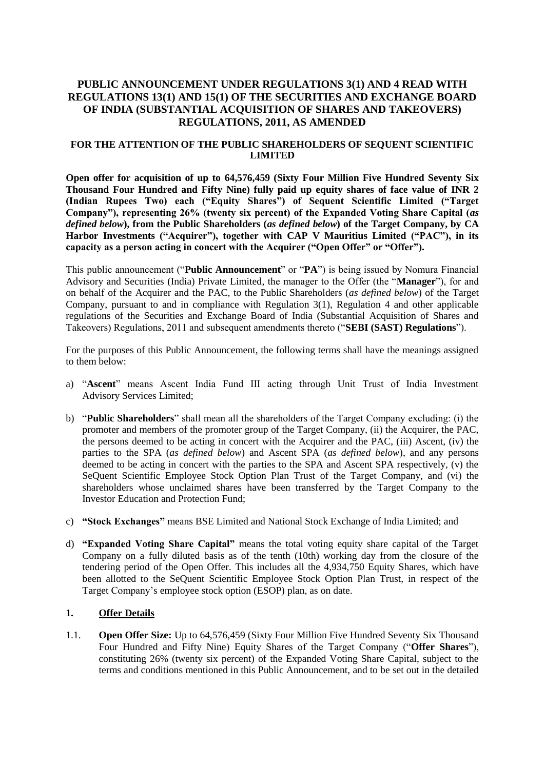## **PUBLIC ANNOUNCEMENT UNDER REGULATIONS 3(1) AND 4 READ WITH REGULATIONS 13(1) AND 15(1) OF THE SECURITIES AND EXCHANGE BOARD OF INDIA (SUBSTANTIAL ACQUISITION OF SHARES AND TAKEOVERS) REGULATIONS, 2011, AS AMENDED**

### **FOR THE ATTENTION OF THE PUBLIC SHAREHOLDERS OF SEQUENT SCIENTIFIC LIMITED**

**Open offer for acquisition of up to 64,576,459 (Sixty Four Million Five Hundred Seventy Six Thousand Four Hundred and Fifty Nine) fully paid up equity shares of face value of INR 2 (Indian Rupees Two) each ("Equity Shares") of Sequent Scientific Limited ("Target Company"), representing 26% (twenty six percent) of the Expanded Voting Share Capital (***as defined below***), from the Public Shareholders (***as defined below***) of the Target Company, by CA Harbor Investments ("Acquirer"), together with CAP V Mauritius Limited ("PAC"), in its**  capacity as a person acting in concert with the Acquirer ("Open Offer" or "Offer").

This public announcement ("**Public Announcement**" or "**PA**") is being issued by Nomura Financial Advisory and Securities (India) Private Limited, the manager to the Offer (the "**Manager**"), for and on behalf of the Acquirer and the PAC, to the Public Shareholders (*as defined below*) of the Target Company, pursuant to and in compliance with Regulation 3(1), Regulation 4 and other applicable regulations of the Securities and Exchange Board of India (Substantial Acquisition of Shares and Takeovers) Regulations, 2011 and subsequent amendments thereto ("**SEBI (SAST) Regulations**").

For the purposes of this Public Announcement, the following terms shall have the meanings assigned to them below:

- a) "**Ascent**" means Ascent India Fund III acting through Unit Trust of India Investment Advisory Services Limited;
- b) "**Public Shareholders**" shall mean all the shareholders of the Target Company excluding: (i) the promoter and members of the promoter group of the Target Company, (ii) the Acquirer, the PAC, the persons deemed to be acting in concert with the Acquirer and the PAC, (iii) Ascent, (iv) the parties to the SPA (*as defined below*) and Ascent SPA (*as defined below*), and any persons deemed to be acting in concert with the parties to the SPA and Ascent SPA respectively, (v) the SeQuent Scientific Employee Stock Option Plan Trust of the Target Company, and (vi) the shareholders whose unclaimed shares have been transferred by the Target Company to the Investor Education and Protection Fund;
- c) **"Stock Exchanges"** means BSE Limited and National Stock Exchange of India Limited; and
- d) **"Expanded Voting Share Capital"** means the total voting equity share capital of the Target Company on a fully diluted basis as of the tenth (10th) working day from the closure of the tendering period of the Open Offer. This includes all the 4,934,750 Equity Shares, which have been allotted to the SeQuent Scientific Employee Stock Option Plan Trust, in respect of the Target Company's employee stock option (ESOP) plan, as on date.

#### **1. Offer Details**

1.1. **Open Offer Size:** Up to 64,576,459 (Sixty Four Million Five Hundred Seventy Six Thousand Four Hundred and Fifty Nine) Equity Shares of the Target Company ("**Offer Shares**"), constituting 26% (twenty six percent) of the Expanded Voting Share Capital, subject to the terms and conditions mentioned in this Public Announcement, and to be set out in the detailed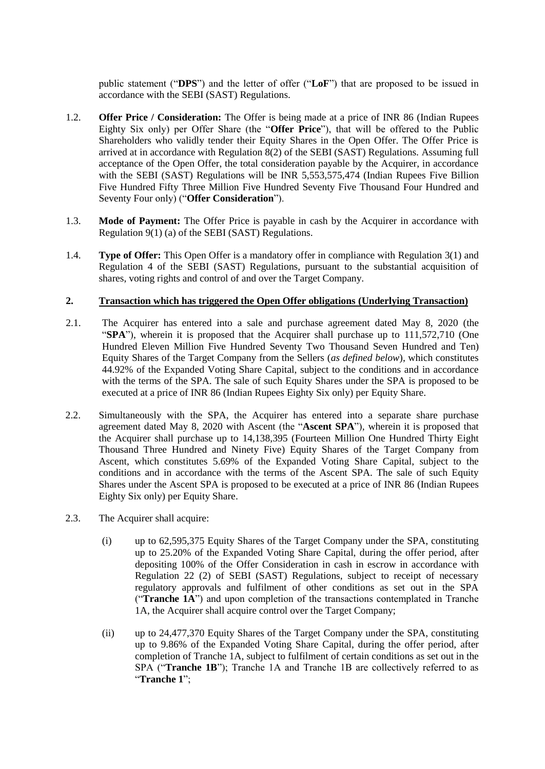public statement ("**DPS**") and the letter of offer ("**LoF**") that are proposed to be issued in accordance with the SEBI (SAST) Regulations.

- 1.2. **Offer Price / Consideration:** The Offer is being made at a price of INR 86 (Indian Rupees Eighty Six only) per Offer Share (the "**Offer Price**"), that will be offered to the Public Shareholders who validly tender their Equity Shares in the Open Offer. The Offer Price is arrived at in accordance with Regulation 8(2) of the SEBI (SAST) Regulations. Assuming full acceptance of the Open Offer, the total consideration payable by the Acquirer, in accordance with the SEBI (SAST) Regulations will be INR 5,553,575,474 (Indian Rupees Five Billion Five Hundred Fifty Three Million Five Hundred Seventy Five Thousand Four Hundred and Seventy Four only) ("**Offer Consideration**").
- 1.3. **Mode of Payment:** The Offer Price is payable in cash by the Acquirer in accordance with Regulation 9(1) (a) of the SEBI (SAST) Regulations.
- 1.4. **Type of Offer:** This Open Offer is a mandatory offer in compliance with Regulation 3(1) and Regulation 4 of the SEBI (SAST) Regulations, pursuant to the substantial acquisition of shares, voting rights and control of and over the Target Company.

## **2. Transaction which has triggered the Open Offer obligations (Underlying Transaction)**

- 2.1. The Acquirer has entered into a sale and purchase agreement dated May 8, 2020 (the "**SPA**"), wherein it is proposed that the Acquirer shall purchase up to 111,572,710 (One Hundred Eleven Million Five Hundred Seventy Two Thousand Seven Hundred and Ten) Equity Shares of the Target Company from the Sellers (*as defined below*), which constitutes 44.92% of the Expanded Voting Share Capital, subject to the conditions and in accordance with the terms of the SPA. The sale of such Equity Shares under the SPA is proposed to be executed at a price of INR 86 (Indian Rupees Eighty Six only) per Equity Share.
- 2.2. Simultaneously with the SPA, the Acquirer has entered into a separate share purchase agreement dated May 8, 2020 with Ascent (the "**Ascent SPA**"), wherein it is proposed that the Acquirer shall purchase up to 14,138,395 (Fourteen Million One Hundred Thirty Eight Thousand Three Hundred and Ninety Five) Equity Shares of the Target Company from Ascent, which constitutes 5.69% of the Expanded Voting Share Capital, subject to the conditions and in accordance with the terms of the Ascent SPA. The sale of such Equity Shares under the Ascent SPA is proposed to be executed at a price of INR 86 (Indian Rupees Eighty Six only) per Equity Share.
- 2.3. The Acquirer shall acquire:
	- (i) up to 62,595,375 Equity Shares of the Target Company under the SPA, constituting up to 25.20% of the Expanded Voting Share Capital, during the offer period, after depositing 100% of the Offer Consideration in cash in escrow in accordance with Regulation 22 (2) of SEBI (SAST) Regulations, subject to receipt of necessary regulatory approvals and fulfilment of other conditions as set out in the SPA ("**Tranche 1A**") and upon completion of the transactions contemplated in Tranche 1A, the Acquirer shall acquire control over the Target Company;
	- (ii) up to 24,477,370 Equity Shares of the Target Company under the SPA, constituting up to 9.86% of the Expanded Voting Share Capital, during the offer period, after completion of Tranche 1A, subject to fulfilment of certain conditions as set out in the SPA ("**Tranche 1B**"); Tranche 1A and Tranche 1B are collectively referred to as "**Tranche 1**";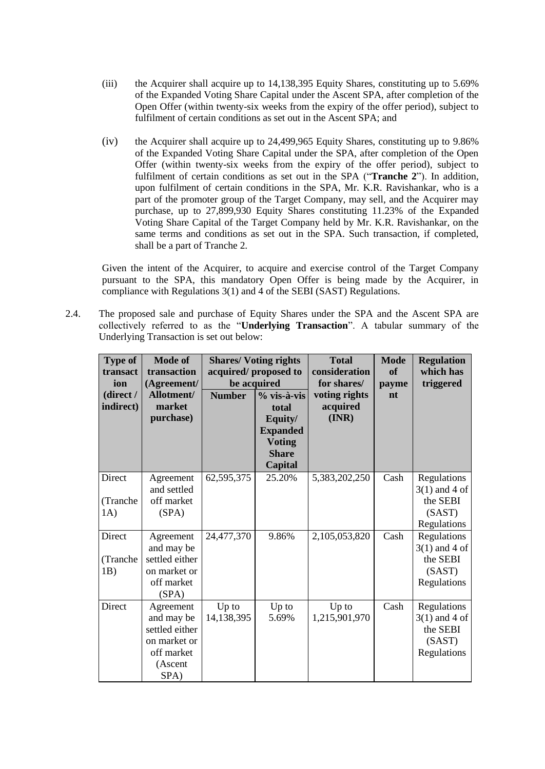- (iii) the Acquirer shall acquire up to 14,138,395 Equity Shares, constituting up to 5.69% of the Expanded Voting Share Capital under the Ascent SPA, after completion of the Open Offer (within twenty-six weeks from the expiry of the offer period), subject to fulfilment of certain conditions as set out in the Ascent SPA; and
- (iv) the Acquirer shall acquire up to 24,499,965 Equity Shares, constituting up to 9.86% of the Expanded Voting Share Capital under the SPA, after completion of the Open Offer (within twenty-six weeks from the expiry of the offer period), subject to fulfilment of certain conditions as set out in the SPA ("**Tranche 2**"). In addition, upon fulfilment of certain conditions in the SPA, Mr. K.R. Ravishankar, who is a part of the promoter group of the Target Company, may sell, and the Acquirer may purchase, up to 27,899,930 Equity Shares constituting 11.23% of the Expanded Voting Share Capital of the Target Company held by Mr. K.R. Ravishankar, on the same terms and conditions as set out in the SPA. Such transaction, if completed, shall be a part of Tranche 2.

Given the intent of the Acquirer, to acquire and exercise control of the Target Company pursuant to the SPA, this mandatory Open Offer is being made by the Acquirer, in compliance with Regulations 3(1) and 4 of the SEBI (SAST) Regulations.

2.4. The proposed sale and purchase of Equity Shares under the SPA and the Ascent SPA are collectively referred to as the "**Underlying Transaction**". A tabular summary of the Underlying Transaction is set out below:

| <b>Type of</b><br>transact<br>ion | <b>Mode of</b><br>transaction<br>(Agreement/                                               | <b>Shares/Voting rights</b><br>acquired/proposed to<br>be acquired |                                                                                                         | <b>Total</b><br>consideration<br>for shares/ | <b>Mode</b><br>of<br>payme | <b>Regulation</b><br>which has<br>triggered                         |
|-----------------------------------|--------------------------------------------------------------------------------------------|--------------------------------------------------------------------|---------------------------------------------------------------------------------------------------------|----------------------------------------------|----------------------------|---------------------------------------------------------------------|
| (direct /<br>indirect)            | Allotment/<br>market<br>purchase)                                                          | <b>Number</b>                                                      | $%$ vis-à-vis<br>total<br>Equity/<br><b>Expanded</b><br><b>Voting</b><br><b>Share</b><br><b>Capital</b> | voting rights<br>acquired<br>(INR)           | nt                         |                                                                     |
| Direct<br>(Tranche<br>1A)         | Agreement<br>and settled<br>off market<br>(SPA)                                            | 62,595,375                                                         | 25.20%                                                                                                  | 5,383,202,250                                | Cash                       | Regulations<br>$3(1)$ and 4 of<br>the SEBI<br>(SAST)<br>Regulations |
| Direct<br>(Tranche<br>1B)         | Agreement<br>and may be<br>settled either<br>on market or<br>off market<br>(SPA)           | 24,477,370                                                         | 9.86%                                                                                                   | 2,105,053,820                                | Cash                       | Regulations<br>$3(1)$ and 4 of<br>the SEBI<br>(SAST)<br>Regulations |
| Direct                            | Agreement<br>and may be<br>settled either<br>on market or<br>off market<br>(Ascent<br>SPA) | Up to<br>14,138,395                                                | Up to<br>5.69%                                                                                          | Up to<br>1,215,901,970                       | Cash                       | Regulations<br>$3(1)$ and 4 of<br>the SEBI<br>(SAST)<br>Regulations |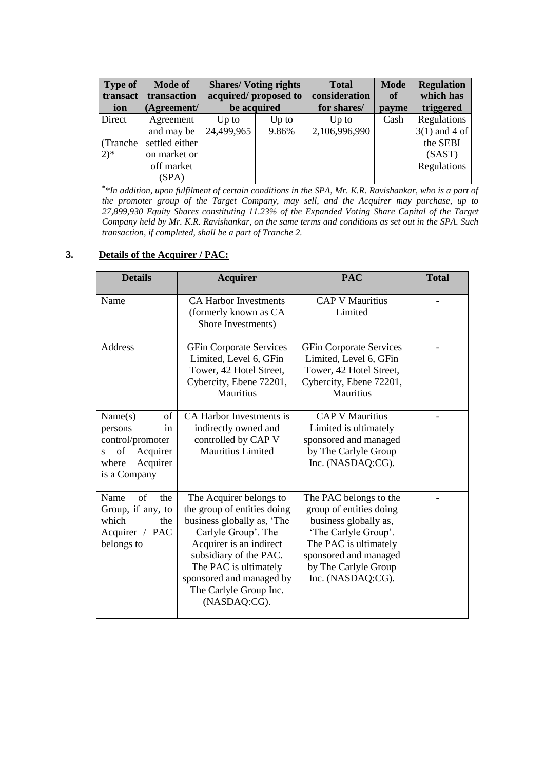| Type of<br>transact | <b>Mode of</b><br>transaction | <b>Shares/Voting rights</b><br>acquired/proposed to |         | <b>Total</b><br>consideration | <b>Mode</b><br>of | <b>Regulation</b><br>which has |
|---------------------|-------------------------------|-----------------------------------------------------|---------|-------------------------------|-------------------|--------------------------------|
| ion                 | (Agreement/                   | be acquired                                         |         | for shares/                   | payme             | triggered                      |
| Direct              | Agreement                     | $Up$ to                                             | $Up$ to | $Up$ to                       | Cash              | Regulations                    |
|                     | and may be                    | 24,499,965                                          | 9.86%   | 2,106,996,990                 |                   | $3(1)$ and 4 of                |
| (Tranche            | settled either                |                                                     |         |                               |                   | the SEBI                       |
| $(2)^{*}$           | on market or                  |                                                     |         |                               |                   | (SAST)                         |
|                     | off market                    |                                                     |         |                               |                   | Regulations                    |
|                     | (SPA)                         |                                                     |         |                               |                   |                                |

**\*** *\*In addition, upon fulfilment of certain conditions in the SPA, Mr. K.R. Ravishankar, who is a part of the promoter group of the Target Company, may sell, and the Acquirer may purchase, up to 27,899,930 Equity Shares constituting 11.23% of the Expanded Voting Share Capital of the Target Company held by Mr. K.R. Ravishankar, on the same terms and conditions as set out in the SPA. Such transaction, if completed, shall be a part of Tranche 2.*

## **3. Details of the Acquirer / PAC:**

| <b>Details</b>                                                                                                  | <b>Acquirer</b>                                                                                                                                                                                                                                                 | <b>PAC</b>                                                                                                                                                                                        | <b>Total</b> |
|-----------------------------------------------------------------------------------------------------------------|-----------------------------------------------------------------------------------------------------------------------------------------------------------------------------------------------------------------------------------------------------------------|---------------------------------------------------------------------------------------------------------------------------------------------------------------------------------------------------|--------------|
| Name                                                                                                            | <b>CA Harbor Investments</b><br>(formerly known as CA<br>Shore Investments)                                                                                                                                                                                     | <b>CAP V Mauritius</b><br>Limited                                                                                                                                                                 |              |
| Address                                                                                                         | <b>GFin Corporate Services</b><br>Limited, Level 6, GFin<br>Tower, 42 Hotel Street,<br>Cybercity, Ebene 72201,<br><b>Mauritius</b>                                                                                                                              | <b>GFin Corporate Services</b><br>Limited, Level 6, GFin<br>Tower, 42 Hotel Street,<br>Cybercity, Ebene 72201,<br>Mauritius                                                                       |              |
| Name(s)<br>of<br>persons<br>in<br>control/promoter<br>of<br>Acquirer<br>S.<br>Acquirer<br>where<br>is a Company | CA Harbor Investments is<br>indirectly owned and<br>controlled by CAP V<br>Mauritius Limited                                                                                                                                                                    | <b>CAP V Mauritius</b><br>Limited is ultimately<br>sponsored and managed<br>by The Carlyle Group<br>Inc. (NASDAQ:CG).                                                                             |              |
| of<br>Name<br>the<br>Group, if any, to<br>which<br>the<br>Acquirer / PAC<br>belongs to                          | The Acquirer belongs to<br>the group of entities doing<br>business globally as, 'The<br>Carlyle Group'. The<br>Acquirer is an indirect<br>subsidiary of the PAC.<br>The PAC is ultimately<br>sponsored and managed by<br>The Carlyle Group Inc.<br>(NASDAQ:CG). | The PAC belongs to the<br>group of entities doing<br>business globally as,<br>'The Carlyle Group'.<br>The PAC is ultimately<br>sponsored and managed<br>by The Carlyle Group<br>Inc. (NASDAQ:CG). |              |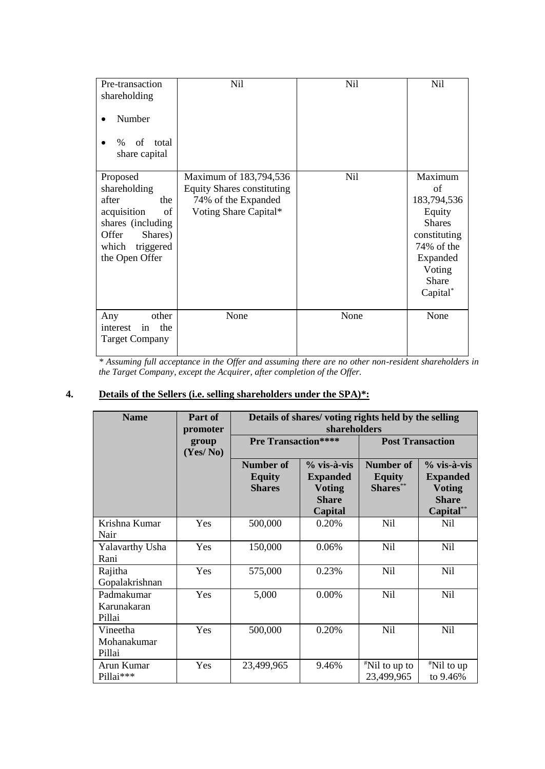| Pre-transaction                                                                                                                                | Nil                                                                                                         | <b>Nil</b> | <b>Nil</b>                                                                                                                       |
|------------------------------------------------------------------------------------------------------------------------------------------------|-------------------------------------------------------------------------------------------------------------|------------|----------------------------------------------------------------------------------------------------------------------------------|
| shareholding                                                                                                                                   |                                                                                                             |            |                                                                                                                                  |
| Number                                                                                                                                         |                                                                                                             |            |                                                                                                                                  |
| of<br>$\%$<br>total                                                                                                                            |                                                                                                             |            |                                                                                                                                  |
| share capital                                                                                                                                  |                                                                                                             |            |                                                                                                                                  |
| Proposed<br>shareholding<br>after<br>the<br>acquisition<br>of<br>shares (including<br>Offer<br>Shares)<br>which<br>triggered<br>the Open Offer | Maximum of 183,794,536<br><b>Equity Shares constituting</b><br>74% of the Expanded<br>Voting Share Capital* | Nil        | Maximum<br>of<br>183,794,536<br>Equity<br><b>Shares</b><br>constituting<br>74% of the<br>Expanded<br>Voting<br>Share<br>Capital* |
| other<br>Any<br>in<br>the<br>interest<br><b>Target Company</b>                                                                                 | None                                                                                                        | None       | None                                                                                                                             |

*\* Assuming full acceptance in the Offer and assuming there are no other non-resident shareholders in the Target Company, except the Acquirer, after completion of the Offer.*

# **4. Details of the Sellers (i.e. selling shareholders under the SPA)\*:**

| <b>Name</b>                         | Part of<br>promoter | Details of shares/voting rights held by the selling<br>shareholders |                                                                              |                                               |                                                                              |
|-------------------------------------|---------------------|---------------------------------------------------------------------|------------------------------------------------------------------------------|-----------------------------------------------|------------------------------------------------------------------------------|
|                                     | group<br>(Yes/No)   | <b>Pre Transaction****</b>                                          |                                                                              | <b>Post Transaction</b>                       |                                                                              |
|                                     |                     | Number of<br><b>Equity</b><br><b>Shares</b>                         | $%$ vis-à-vis<br><b>Expanded</b><br><b>Voting</b><br><b>Share</b><br>Capital | <b>Number of</b><br><b>Equity</b><br>Shares** | % vis-à-vis<br><b>Expanded</b><br><b>Voting</b><br><b>Share</b><br>Capital** |
| Krishna Kumar<br>Nair               | Yes                 | 500,000                                                             | 0.20%                                                                        | N <sub>il</sub>                               | Nil                                                                          |
| Yalavarthy Usha<br>Rani             | Yes                 | 150,000                                                             | 0.06%                                                                        | Nil                                           | Nil                                                                          |
| Rajitha<br>Gopalakrishnan           | Yes                 | 575,000                                                             | 0.23%                                                                        | <b>Nil</b>                                    | N <sub>il</sub>                                                              |
| Padmakumar<br>Karunakaran<br>Pillai | Yes                 | 5,000                                                               | $0.00\%$                                                                     | N <sub>il</sub>                               | N <sub>il</sub>                                                              |
| Vineetha<br>Mohanakumar<br>Pillai   | Yes                 | 500,000                                                             | 0.20%                                                                        | Nil                                           | <b>Nil</b>                                                                   |
| Arun Kumar<br>Pillai***             | Yes                 | 23,499,965                                                          | 9.46%                                                                        | $\sqrt[#]{1}$ to up to<br>23,499,965          | $*$ Nil to up<br>to 9.46%                                                    |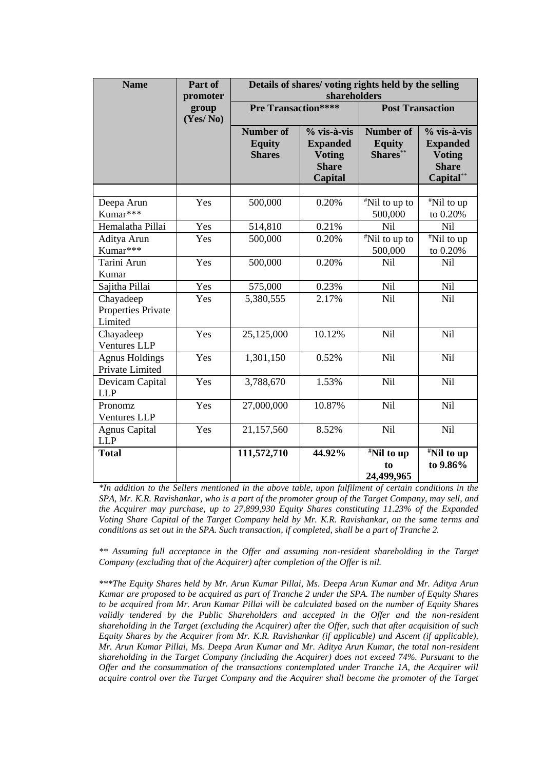| <b>Name</b>                                 | Part of<br>promoter | Details of shares/voting rights held by the selling<br>shareholders |                                                                              |                                               |                                                                              |
|---------------------------------------------|---------------------|---------------------------------------------------------------------|------------------------------------------------------------------------------|-----------------------------------------------|------------------------------------------------------------------------------|
|                                             | group<br>(Yes/No)   | <b>Pre Transaction****</b>                                          |                                                                              | <b>Post Transaction</b>                       |                                                                              |
|                                             |                     | <b>Number of</b><br><b>Equity</b><br><b>Shares</b>                  | $%$ vis-à-vis<br><b>Expanded</b><br><b>Voting</b><br><b>Share</b><br>Capital | <b>Number of</b><br><b>Equity</b><br>Shares** | % vis-à-vis<br><b>Expanded</b><br><b>Voting</b><br><b>Share</b><br>Capital** |
| Deepa Arun<br>Kumar***                      | Yes                 | 500,000                                                             | 0.20%                                                                        | $\sqrt{\frac{H}{N}}$ Nil to up to<br>500,000  | <sup>#</sup> Nil to up<br>to 0.20%                                           |
| Hemalatha Pillai<br>Aditya Arun<br>Kumar*** | Yes<br>Yes          | 514,810<br>500,000                                                  | 0.21%<br>0.20%                                                               | Nil<br>"Nil to up to<br>500,000               | Nil<br>$\overline{\text{M}}$ Nil to up<br>to 0.20%                           |
| Tarini Arun<br>Kumar                        | Yes                 | 500,000                                                             | 0.20%                                                                        | Nil                                           | Nil                                                                          |
| Sajitha Pillai                              | Yes                 | 575,000                                                             | 0.23%                                                                        | Nil                                           | Nil                                                                          |
| Chayadeep<br>Properties Private<br>Limited  | Yes                 | 5,380,555                                                           | 2.17%                                                                        | Nil                                           | Nil                                                                          |
| Chayadeep<br><b>Ventures LLP</b>            | Yes                 | 25,125,000                                                          | 10.12%                                                                       | Nil                                           | Nil                                                                          |
| <b>Agnus Holdings</b><br>Private Limited    | Yes                 | 1,301,150                                                           | 0.52%                                                                        | Nil                                           | Nil                                                                          |
| Devicam Capital<br><b>LLP</b>               | Yes                 | 3,788,670                                                           | 1.53%                                                                        | Nil                                           | Nil                                                                          |
| Pronomz<br><b>Ventures LLP</b>              | Yes                 | 27,000,000                                                          | 10.87%                                                                       | Nil                                           | Nil                                                                          |
| <b>Agnus Capital</b><br><b>LLP</b>          | Yes                 | 21,157,560                                                          | 8.52%                                                                        | Nil                                           | Nil                                                                          |
| <b>Total</b>                                |                     | 111,572,710                                                         | 44.92%                                                                       | "Nil to up<br>to<br>24,499,965                | "Nil to up<br>to 9.86%                                                       |

*\*In addition to the Sellers mentioned in the above table, upon fulfilment of certain conditions in the SPA, Mr. K.R. Ravishankar, who is a part of the promoter group of the Target Company, may sell, and the Acquirer may purchase, up to 27,899,930 Equity Shares constituting 11.23% of the Expanded Voting Share Capital of the Target Company held by Mr. K.R. Ravishankar, on the same terms and conditions as set out in the SPA. Such transaction, if completed, shall be a part of Tranche 2.* 

*\*\* Assuming full acceptance in the Offer and assuming non-resident shareholding in the Target Company (excluding that of the Acquirer) after completion of the Offer is nil.*

*\*\*\*The Equity Shares held by Mr. Arun Kumar Pillai, Ms. Deepa Arun Kumar and Mr. Aditya Arun Kumar are proposed to be acquired as part of Tranche 2 under the SPA. The number of Equity Shares to be acquired from Mr. Arun Kumar Pillai will be calculated based on the number of Equity Shares*  validly tendered by the Public Shareholders and accepted in the Offer and the non-resident *shareholding in the Target (excluding the Acquirer) after the Offer, such that after acquisition of such Equity Shares by the Acquirer from Mr. K.R. Ravishankar (if applicable) and Ascent (if applicable), Mr. Arun Kumar Pillai, Ms. Deepa Arun Kumar and Mr. Aditya Arun Kumar, the total non-resident shareholding in the Target Company (including the Acquirer) does not exceed 74%. Pursuant to the Offer and the consummation of the transactions contemplated under Tranche 1A, the Acquirer will acquire control over the Target Company and the Acquirer shall become the promoter of the Target*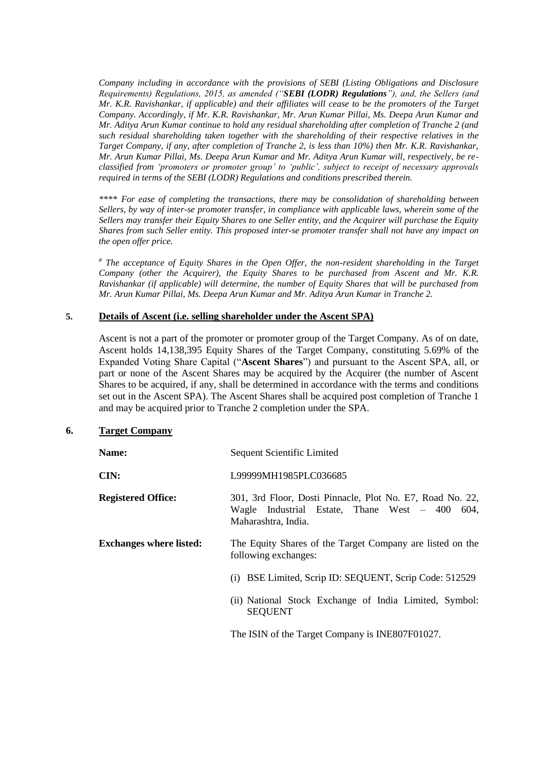*Company including in accordance with the provisions of SEBI (Listing Obligations and Disclosure Requirements) Regulations, 2015, as amended ("SEBI (LODR) Regulations"), and, the Sellers (and Mr. K.R. Ravishankar, if applicable) and their affiliates will cease to be the promoters of the Target Company. Accordingly, if Mr. K.R. Ravishankar, Mr. Arun Kumar Pillai, Ms. Deepa Arun Kumar and Mr. Aditya Arun Kumar continue to hold any residual shareholding after completion of Tranche 2 (and such residual shareholding taken together with the shareholding of their respective relatives in the Target Company, if any, after completion of Tranche 2, is less than 10%) then Mr. K.R. Ravishankar, Mr. Arun Kumar Pillai, Ms. Deepa Arun Kumar and Mr. Aditya Arun Kumar will, respectively, be reclassified from 'promoters or promoter group' to 'public', subject to receipt of necessary approvals required in terms of the SEBI (LODR) Regulations and conditions prescribed therein.* 

*\*\*\*\* For ease of completing the transactions, there may be consolidation of shareholding between Sellers, by way of inter-se promoter transfer, in compliance with applicable laws, wherein some of the Sellers may transfer their Equity Shares to one Seller entity, and the Acquirer will purchase the Equity Shares from such Seller entity. This proposed inter-se promoter transfer shall not have any impact on the open offer price.* 

*# The acceptance of Equity Shares in the Open Offer, the non-resident shareholding in the Target Company (other the Acquirer), the Equity Shares to be purchased from Ascent and Mr. K.R. Ravishankar (if applicable) will determine, the number of Equity Shares that will be purchased from Mr. Arun Kumar Pillai, Ms. Deepa Arun Kumar and Mr. Aditya Arun Kumar in Tranche 2.* 

### **5. Details of Ascent (i.e. selling shareholder under the Ascent SPA)**

Ascent is not a part of the promoter or promoter group of the Target Company. As of on date, Ascent holds 14,138,395 Equity Shares of the Target Company, constituting 5.69% of the Expanded Voting Share Capital ("**Ascent Shares**") and pursuant to the Ascent SPA, all, or part or none of the Ascent Shares may be acquired by the Acquirer (the number of Ascent Shares to be acquired, if any, shall be determined in accordance with the terms and conditions set out in the Ascent SPA). The Ascent Shares shall be acquired post completion of Tranche 1 and may be acquired prior to Tranche 2 completion under the SPA.

### **6. Target Company**

| Name:                          | Sequent Scientific Limited                                                                                                            |  |  |
|--------------------------------|---------------------------------------------------------------------------------------------------------------------------------------|--|--|
| CIN:                           | L99999MH1985PLC036685                                                                                                                 |  |  |
| <b>Registered Office:</b>      | 301, 3rd Floor, Dosti Pinnacle, Plot No. E7, Road No. 22,<br>Wagle Industrial Estate, Thane West – 400<br>604.<br>Maharashtra, India. |  |  |
| <b>Exchanges where listed:</b> | The Equity Shares of the Target Company are listed on the<br>following exchanges:                                                     |  |  |
|                                | (i) BSE Limited, Scrip ID: SEQUENT, Scrip Code: 512529                                                                                |  |  |
|                                | (ii) National Stock Exchange of India Limited, Symbol:<br><b>SEQUENT</b>                                                              |  |  |
|                                | The ISIN of the Target Company is INE807F01027.                                                                                       |  |  |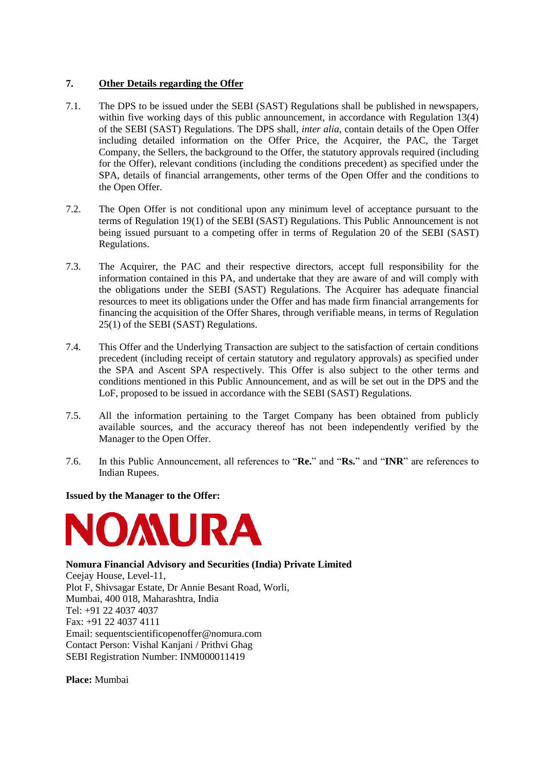## **7. Other Details regarding the Offer**

- 7.1. The DPS to be issued under the SEBI (SAST) Regulations shall be published in newspapers, within five working days of this public announcement, in accordance with Regulation 13(4) of the SEBI (SAST) Regulations. The DPS shall, *inter alia*, contain details of the Open Offer including detailed information on the Offer Price, the Acquirer, the PAC, the Target Company, the Sellers, the background to the Offer, the statutory approvals required (including for the Offer), relevant conditions (including the conditions precedent) as specified under the SPA, details of financial arrangements, other terms of the Open Offer and the conditions to the Open Offer.
- 7.2. The Open Offer is not conditional upon any minimum level of acceptance pursuant to the terms of Regulation 19(1) of the SEBI (SAST) Regulations. This Public Announcement is not being issued pursuant to a competing offer in terms of Regulation 20 of the SEBI (SAST) Regulations.
- 7.3. The Acquirer, the PAC and their respective directors, accept full responsibility for the information contained in this PA, and undertake that they are aware of and will comply with the obligations under the SEBI (SAST) Regulations. The Acquirer has adequate financial resources to meet its obligations under the Offer and has made firm financial arrangements for financing the acquisition of the Offer Shares, through verifiable means, in terms of Regulation 25(1) of the SEBI (SAST) Regulations.
- 7.4. This Offer and the Underlying Transaction are subject to the satisfaction of certain conditions precedent (including receipt of certain statutory and regulatory approvals) as specified under the SPA and Ascent SPA respectively. This Offer is also subject to the other terms and conditions mentioned in this Public Announcement, and as will be set out in the DPS and the LoF, proposed to be issued in accordance with the SEBI (SAST) Regulations.
- 7.5. All the information pertaining to the Target Company has been obtained from publicly available sources, and the accuracy thereof has not been independently verified by the Manager to the Open Offer.
- 7.6. In this Public Announcement, all references to "**Re.**" and "**Rs.**" and "**INR**" are references to Indian Rupees.

### **Issued by the Manager to the Offer:**



**Nomura Financial Advisory and Securities (India) Private Limited** Ceejay House, Level-11, Plot F, Shivsagar Estate, Dr Annie Besant Road, Worli, Mumbai, 400 018, Maharashtra, India Tel: +91 22 4037 4037 Fax: +91 22 4037 4111 Email: sequentscientificopenoffer@nomura.com Contact Person: Vishal Kanjani / Prithvi Ghag SEBI Registration Number: INM000011419

**Place:** Mumbai